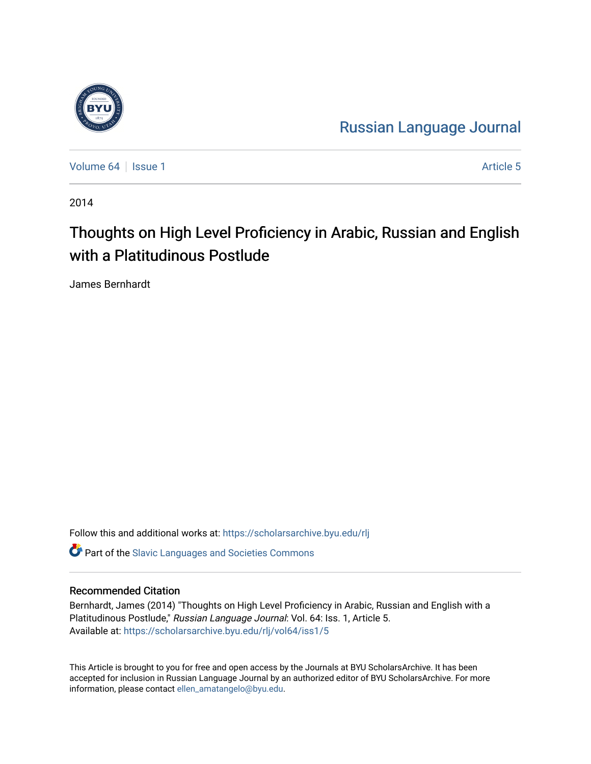

[Russian Language Journal](https://scholarsarchive.byu.edu/rlj) 

[Volume 64](https://scholarsarchive.byu.edu/rlj/vol64) | [Issue 1](https://scholarsarchive.byu.edu/rlj/vol64/iss1) Article 5

2014

# Thoughts on High Level Proficiency in Arabic, Russian and English with a Platitudinous Postlude

James Bernhardt

Follow this and additional works at: [https://scholarsarchive.byu.edu/rlj](https://scholarsarchive.byu.edu/rlj?utm_source=scholarsarchive.byu.edu%2Frlj%2Fvol64%2Fiss1%2F5&utm_medium=PDF&utm_campaign=PDFCoverPages)

**C** Part of the Slavic Languages and Societies Commons

#### Recommended Citation

Bernhardt, James (2014) "Thoughts on High Level Proficiency in Arabic, Russian and English with a Platitudinous Postlude," Russian Language Journal: Vol. 64: Iss. 1, Article 5. Available at: [https://scholarsarchive.byu.edu/rlj/vol64/iss1/5](https://scholarsarchive.byu.edu/rlj/vol64/iss1/5?utm_source=scholarsarchive.byu.edu%2Frlj%2Fvol64%2Fiss1%2F5&utm_medium=PDF&utm_campaign=PDFCoverPages) 

This Article is brought to you for free and open access by the Journals at BYU ScholarsArchive. It has been accepted for inclusion in Russian Language Journal by an authorized editor of BYU ScholarsArchive. For more information, please contact [ellen\\_amatangelo@byu.edu.](mailto:ellen_amatangelo@byu.edu)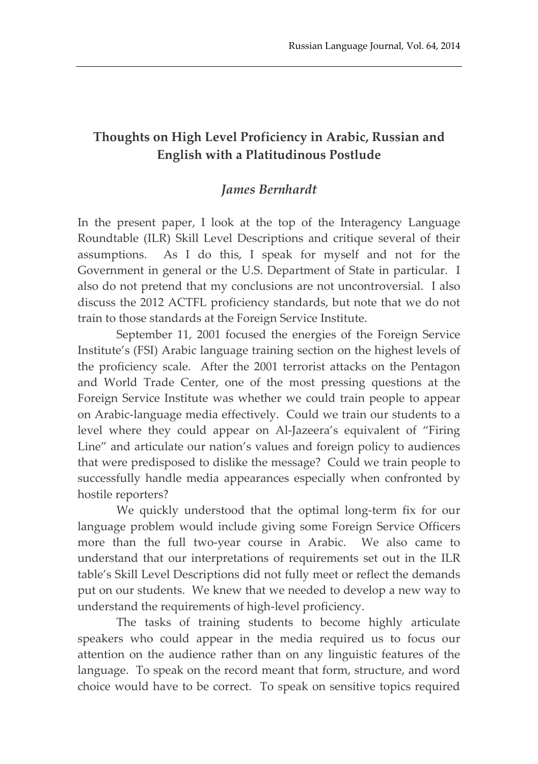## **Thoughts on High Level Proficiency in Arabic, Russian and English with a Platitudinous Postlude**

## *James Bernhardt*

In the present paper, I look at the top of the Interagency Language Roundtable (ILR) Skill Level Descriptions and critique several of their assumptions. As I do this, I speak for myself and not for the Government in general or the U.S. Department of State in particular. I also do not pretend that my conclusions are not uncontroversial. I also discuss the 2012 ACTFL proficiency standards, but note that we do not train to those standards at the Foreign Service Institute.

September 11, 2001 focused the energies of the Foreign Service Institute's (FSI) Arabic language training section on the highest levels of the proficiency scale. After the 2001 terrorist attacks on the Pentagon and World Trade Center, one of the most pressing questions at the Foreign Service Institute was whether we could train people to appear on Arabic-language media effectively. Could we train our students to a level where they could appear on Al-Jazeera's equivalent of "Firing Line" and articulate our nation's values and foreign policy to audiences that were predisposed to dislike the message? Could we train people to successfully handle media appearances especially when confronted by hostile reporters?

We quickly understood that the optimal long-term fix for our language problem would include giving some Foreign Service Officers more than the full two-year course in Arabic. We also came to understand that our interpretations of requirements set out in the ILR table's Skill Level Descriptions did not fully meet or reflect the demands put on our students. We knew that we needed to develop a new way to understand the requirements of high-level proficiency.

The tasks of training students to become highly articulate speakers who could appear in the media required us to focus our attention on the audience rather than on any linguistic features of the language. To speak on the record meant that form, structure, and word choice would have to be correct. To speak on sensitive topics required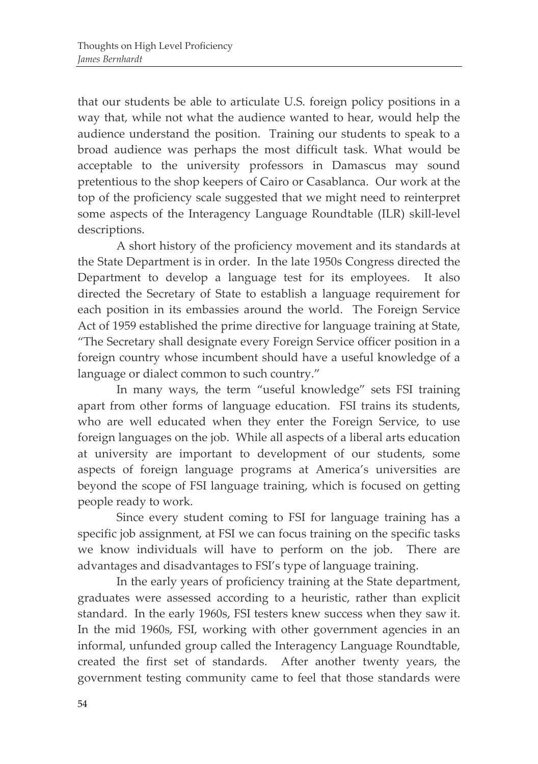that our students be able to articulate U.S. foreign policy positions in a way that, while not what the audience wanted to hear, would help the audience understand the position. Training our students to speak to a broad audience was perhaps the most difficult task. What would be acceptable to the university professors in Damascus may sound pretentious to the shop keepers of Cairo or Casablanca. Our work at the top of the proficiency scale suggested that we might need to reinterpret some aspects of the Interagency Language Roundtable (ILR) skill-level descriptions.

A short history of the proficiency movement and its standards at the State Department is in order. In the late 1950s Congress directed the Department to develop a language test for its employees. It also directed the Secretary of State to establish a language requirement for each position in its embassies around the world. The Foreign Service Act of 1959 established the prime directive for language training at State, "The Secretary shall designate every Foreign Service officer position in a foreign country whose incumbent should have a useful knowledge of a language or dialect common to such country."

In many ways, the term "useful knowledge" sets FSI training apart from other forms of language education. FSI trains its students, who are well educated when they enter the Foreign Service, to use foreign languages on the job. While all aspects of a liberal arts education at university are important to development of our students, some aspects of foreign language programs at America's universities are beyond the scope of FSI language training, which is focused on getting people ready to work.

Since every student coming to FSI for language training has a specific job assignment, at FSI we can focus training on the specific tasks we know individuals will have to perform on the job. There are advantages and disadvantages to FSI's type of language training.

In the early years of proficiency training at the State department, graduates were assessed according to a heuristic, rather than explicit standard. In the early 1960s, FSI testers knew success when they saw it. In the mid 1960s, FSI, working with other government agencies in an informal, unfunded group called the Interagency Language Roundtable, created the first set of standards. After another twenty years, the government testing community came to feel that those standards were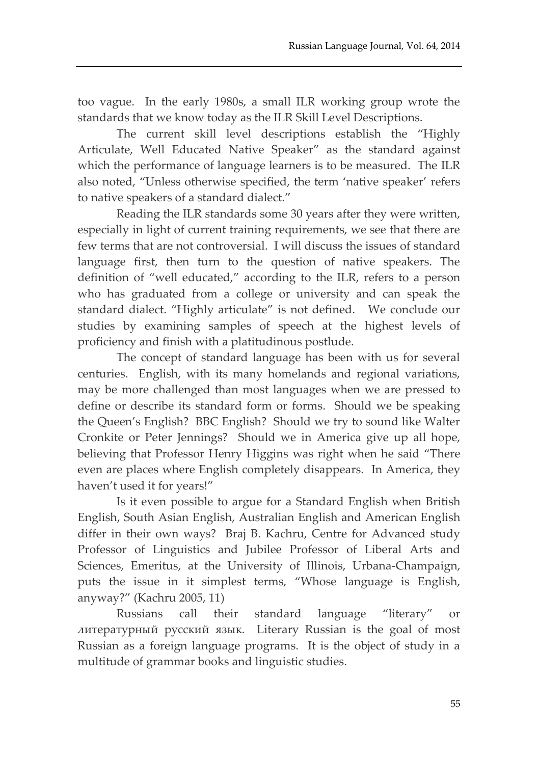too vague. In the early 1980s, a small ILR working group wrote the standards that we know today as the ILR Skill Level Descriptions.

The current skill level descriptions establish the "Highly Articulate, Well Educated Native Speaker" as the standard against which the performance of language learners is to be measured. The ILR also noted, "Unless otherwise specified, the term 'native speaker' refers to native speakers of a standard dialect."

Reading the ILR standards some 30 years after they were written, especially in light of current training requirements, we see that there are few terms that are not controversial. I will discuss the issues of standard language first, then turn to the question of native speakers. The definition of "well educated," according to the ILR, refers to a person who has graduated from a college or university and can speak the standard dialect. "Highly articulate" is not defined. We conclude our studies by examining samples of speech at the highest levels of proficiency and finish with a platitudinous postlude.

The concept of standard language has been with us for several centuries. English, with its many homelands and regional variations, may be more challenged than most languages when we are pressed to define or describe its standard form or forms. Should we be speaking the Queen's English? BBC English? Should we try to sound like Walter Cronkite or Peter Jennings? Should we in America give up all hope, believing that Professor Henry Higgins was right when he said "There even are places where English completely disappears. In America, they haven't used it for years!"

Is it even possible to argue for a Standard English when British English, South Asian English, Australian English and American English differ in their own ways? Braj B. Kachru, Centre for Advanced study Professor of Linguistics and Jubilee Professor of Liberal Arts and Sciences, Emeritus, at the University of Illinois, Urbana-Champaign, puts the issue in it simplest terms, "Whose language is English, anyway?" (Kachru 2005, 11)

Russians call their standard language "literary" or литературный русский язык. Literary Russian is the goal of most Russian as a foreign language programs. It is the object of study in a multitude of grammar books and linguistic studies.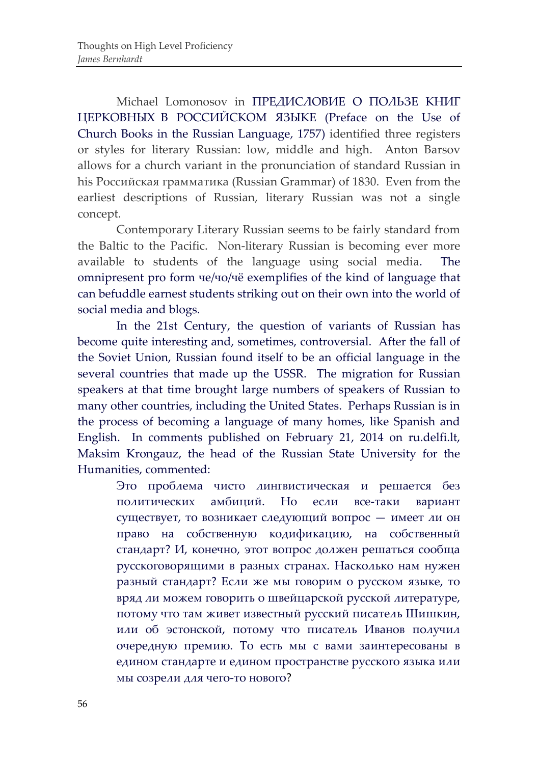Michael Lomonosov in ПРЕДИСЛОВИЕ О ПОЛЬЗЕ КНИГ ЦЕРКОВНЫХ В РОССИЙСКОМ ЯЗЫКЕ (Preface on the Use of Church Books in the Russian Language, 1757) identified three registers or styles for literary Russian: low, middle and high. Anton Barsov allows for a church variant in the pronunciation of standard Russian in his Российская грамматика (Russian Grammar) of 1830. Even from the earliest descriptions of Russian, literary Russian was not a single concept.

Contemporary Literary Russian seems to be fairly standard from the Baltic to the Pacific. Non-literary Russian is becoming ever more available to students of the language using social media. The omnipresent pro form че/чо/чё exemplifies of the kind of language that can befuddle earnest students striking out on their own into the world of social media and blogs.

In the 21st Century, the question of variants of Russian has become quite interesting and, sometimes, controversial. After the fall of the Soviet Union, Russian found itself to be an official language in the several countries that made up the USSR. The migration for Russian speakers at that time brought large numbers of speakers of Russian to many other countries, including the United States. Perhaps Russian is in the process of becoming a language of many homes, like Spanish and English. In comments published on February 21, 2014 on ru.delfi.lt, Maksim Krongauz, the head of the Russian State University for the Humanities, commented:

Это проблема чисто лингвистическая и решается без политических амбиций. Но если все-таки вариант существует, то возникает следующий вопрос — имеет ли он право на собственную кодификацию, на собственный стандарт? И, конечно, этот вопрос должен решаться сообща русскоговорящими в разных странах. Насколько нам нужен разный стандарт? Если же мы говорим о русском языке, то вряд ли можем говорить о швейцарской русской литературе, потому что там живет известный русский писатель Шишкин, или об эстонской, потому что писатель Иванов получил очередную премию. То есть мы с вами заинтересованы в едином стандарте и едином пространстве русского языка или мы созрели для чего-то нового?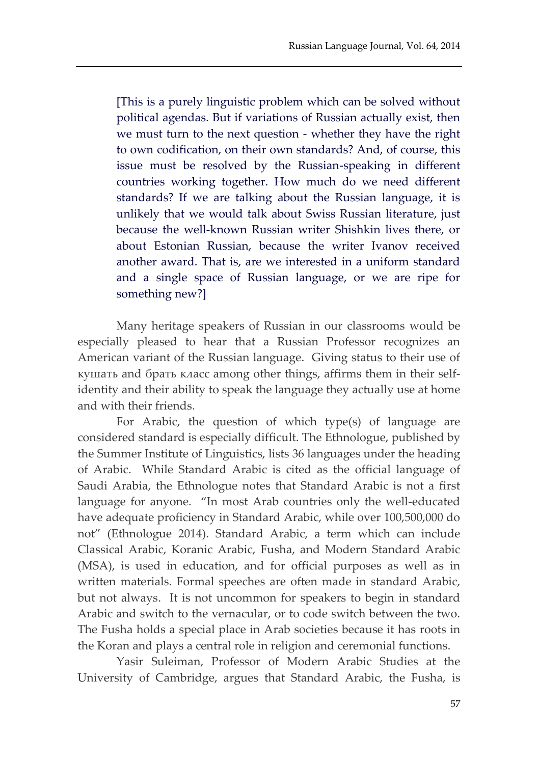[This is a purely linguistic problem which can be solved without political agendas. But if variations of Russian actually exist, then we must turn to the next question - whether they have the right to own codification, on their own standards? And, of course, this issue must be resolved by the Russian-speaking in different countries working together. How much do we need different standards? If we are talking about the Russian language, it is unlikely that we would talk about Swiss Russian literature, just because the well-known Russian writer Shishkin lives there, or about Estonian Russian, because the writer Ivanov received another award. That is, are we interested in a uniform standard and a single space of Russian language, or we are ripe for something new?]

Many heritage speakers of Russian in our classrooms would be especially pleased to hear that a Russian Professor recognizes an American variant of the Russian language. Giving status to their use of кушать and брать класс among other things, affirms them in their selfidentity and their ability to speak the language they actually use at home and with their friends.

For Arabic, the question of which type(s) of language are considered standard is especially difficult. The Ethnologue, published by the Summer Institute of Linguistics, lists 36 languages under the heading of Arabic. While Standard Arabic is cited as the official language of Saudi Arabia, the Ethnologue notes that Standard Arabic is not a first language for anyone. "In most Arab countries only the well-educated have adequate proficiency in Standard Arabic, while over 100,500,000 do not" (Ethnologue 2014). Standard Arabic, a term which can include Classical Arabic, Koranic Arabic, Fusha, and Modern Standard Arabic (MSA), is used in education, and for official purposes as well as in written materials. Formal speeches are often made in standard Arabic, but not always. It is not uncommon for speakers to begin in standard Arabic and switch to the vernacular, or to code switch between the two. The Fusha holds a special place in Arab societies because it has roots in the Koran and plays a central role in religion and ceremonial functions.

Yasir Suleiman, Professor of Modern Arabic Studies at the University of Cambridge, argues that Standard Arabic, the Fusha, is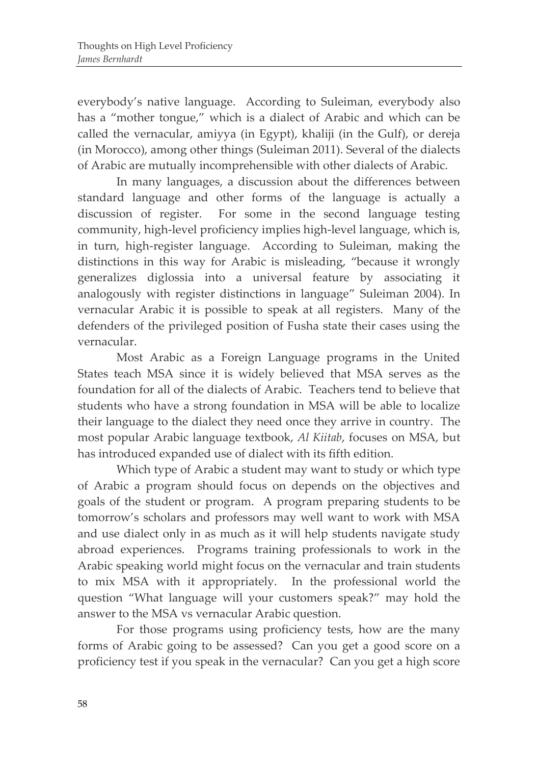everybody's native language. According to Suleiman, everybody also has a "mother tongue," which is a dialect of Arabic and which can be called the vernacular, amiyya (in Egypt), khaliji (in the Gulf), or dereja (in Morocco), among other things (Suleiman 2011). Several of the dialects of Arabic are mutually incomprehensible with other dialects of Arabic.

In many languages, a discussion about the differences between standard language and other forms of the language is actually a discussion of register. For some in the second language testing community, high-level proficiency implies high-level language, which is, in turn, high-register language. According to Suleiman, making the distinctions in this way for Arabic is misleading, "because it wrongly generalizes diglossia into a universal feature by associating it analogously with register distinctions in language" Suleiman 2004). In vernacular Arabic it is possible to speak at all registers. Many of the defenders of the privileged position of Fusha state their cases using the vernacular.

Most Arabic as a Foreign Language programs in the United States teach MSA since it is widely believed that MSA serves as the foundation for all of the dialects of Arabic. Teachers tend to believe that students who have a strong foundation in MSA will be able to localize their language to the dialect they need once they arrive in country. The most popular Arabic language textbook, *Al Kiitab*, focuses on MSA, but has introduced expanded use of dialect with its fifth edition.

Which type of Arabic a student may want to study or which type of Arabic a program should focus on depends on the objectives and goals of the student or program. A program preparing students to be tomorrow's scholars and professors may well want to work with MSA and use dialect only in as much as it will help students navigate study abroad experiences. Programs training professionals to work in the Arabic speaking world might focus on the vernacular and train students to mix MSA with it appropriately. In the professional world the question "What language will your customers speak?" may hold the answer to the MSA vs vernacular Arabic question.

For those programs using proficiency tests, how are the many forms of Arabic going to be assessed? Can you get a good score on a proficiency test if you speak in the vernacular? Can you get a high score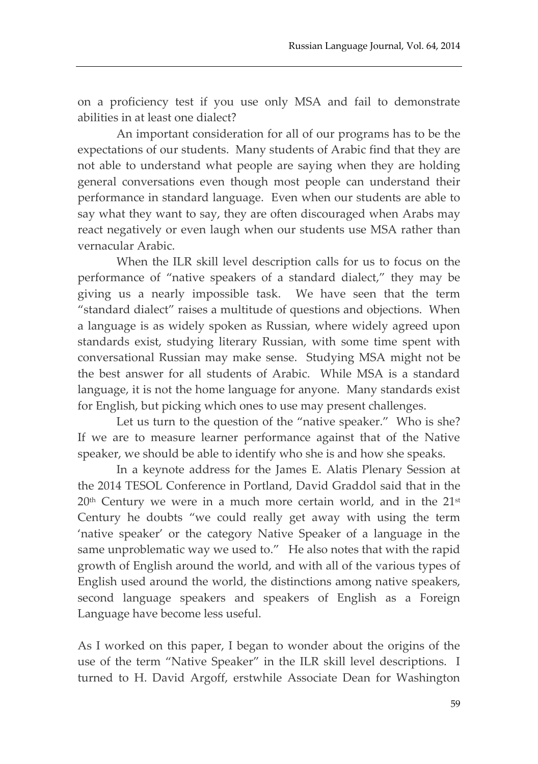on a proficiency test if you use only MSA and fail to demonstrate abilities in at least one dialect?

An important consideration for all of our programs has to be the expectations of our students. Many students of Arabic find that they are not able to understand what people are saying when they are holding general conversations even though most people can understand their performance in standard language. Even when our students are able to say what they want to say, they are often discouraged when Arabs may react negatively or even laugh when our students use MSA rather than vernacular Arabic.

When the ILR skill level description calls for us to focus on the performance of "native speakers of a standard dialect," they may be giving us a nearly impossible task. We have seen that the term "standard dialect" raises a multitude of questions and objections. When a language is as widely spoken as Russian, where widely agreed upon standards exist, studying literary Russian, with some time spent with conversational Russian may make sense. Studying MSA might not be the best answer for all students of Arabic. While MSA is a standard language, it is not the home language for anyone. Many standards exist for English, but picking which ones to use may present challenges.

Let us turn to the question of the "native speaker." Who is she? If we are to measure learner performance against that of the Native speaker, we should be able to identify who she is and how she speaks.

In a keynote address for the James E. Alatis Plenary Session at the 2014 TESOL Conference in Portland, David Graddol said that in the 20<sup>th</sup> Century we were in a much more certain world, and in the 21<sup>st</sup> Century he doubts "we could really get away with using the term 'native speaker' or the category Native Speaker of a language in the same unproblematic way we used to." He also notes that with the rapid growth of English around the world, and with all of the various types of English used around the world, the distinctions among native speakers, second language speakers and speakers of English as a Foreign Language have become less useful.

As I worked on this paper, I began to wonder about the origins of the use of the term "Native Speaker" in the ILR skill level descriptions. I turned to H. David Argoff, erstwhile Associate Dean for Washington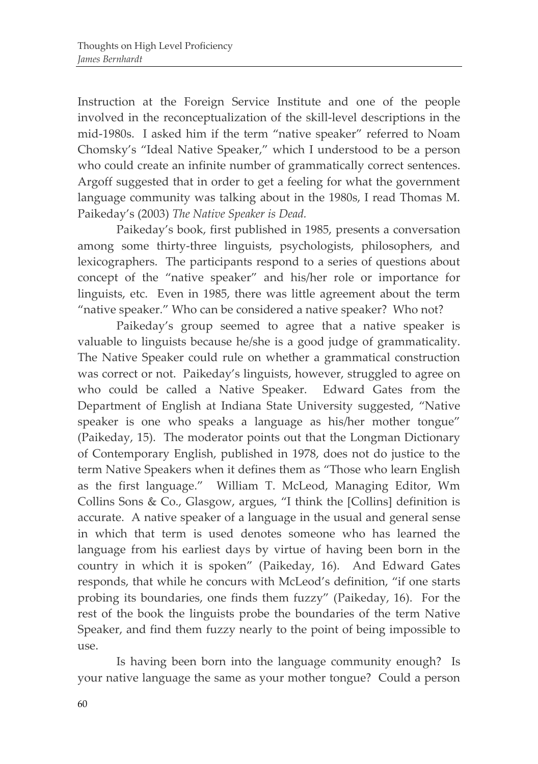Instruction at the Foreign Service Institute and one of the people involved in the reconceptualization of the skill-level descriptions in the mid-1980s. I asked him if the term "native speaker" referred to Noam Chomsky's "Ideal Native Speaker," which I understood to be a person who could create an infinite number of grammatically correct sentences. Argoff suggested that in order to get a feeling for what the government language community was talking about in the 1980s, I read Thomas M. Paikeday's (2003) *The Native Speaker is Dead.*

Paikeday's book, first published in 1985, presents a conversation among some thirty-three linguists, psychologists, philosophers, and lexicographers. The participants respond to a series of questions about concept of the "native speaker" and his/her role or importance for linguists, etc. Even in 1985, there was little agreement about the term "native speaker." Who can be considered a native speaker? Who not?

Paikeday's group seemed to agree that a native speaker is valuable to linguists because he/she is a good judge of grammaticality. The Native Speaker could rule on whether a grammatical construction was correct or not. Paikeday's linguists, however, struggled to agree on who could be called a Native Speaker. Edward Gates from the Department of English at Indiana State University suggested, "Native speaker is one who speaks a language as his/her mother tongue" (Paikeday, 15). The moderator points out that the Longman Dictionary of Contemporary English, published in 1978, does not do justice to the term Native Speakers when it defines them as "Those who learn English as the first language." William T. McLeod, Managing Editor, Wm Collins Sons & Co., Glasgow, argues, "I think the [Collins] definition is accurate. A native speaker of a language in the usual and general sense in which that term is used denotes someone who has learned the language from his earliest days by virtue of having been born in the country in which it is spoken" (Paikeday, 16). And Edward Gates responds, that while he concurs with McLeod's definition, "if one starts probing its boundaries, one finds them fuzzy" (Paikeday, 16). For the rest of the book the linguists probe the boundaries of the term Native Speaker, and find them fuzzy nearly to the point of being impossible to use.

Is having been born into the language community enough? Is your native language the same as your mother tongue? Could a person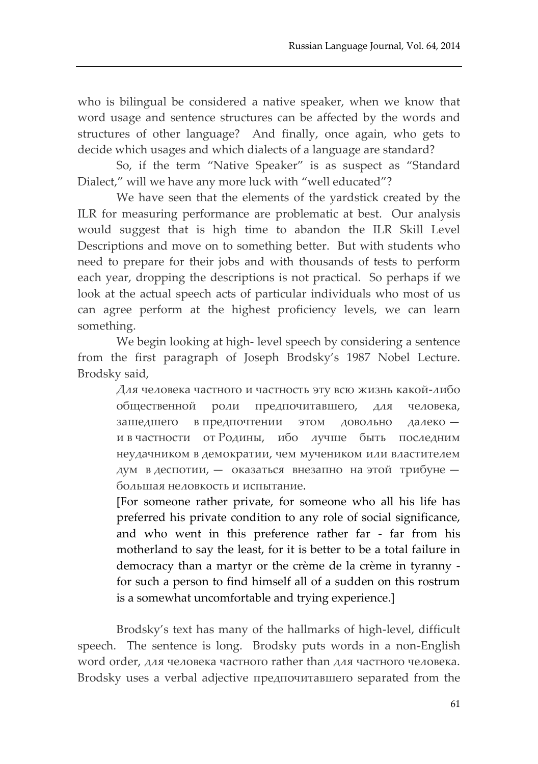who is bilingual be considered a native speaker, when we know that word usage and sentence structures can be affected by the words and structures of other language? And finally, once again, who gets to decide which usages and which dialects of a language are standard?

So, if the term "Native Speaker" is as suspect as "Standard Dialect," will we have any more luck with "well educated"?

We have seen that the elements of the yardstick created by the ILR for measuring performance are problematic at best. Our analysis would suggest that is high time to abandon the ILR Skill Level Descriptions and move on to something better. But with students who need to prepare for their jobs and with thousands of tests to perform each year, dropping the descriptions is not practical. So perhaps if we look at the actual speech acts of particular individuals who most of us can agree perform at the highest proficiency levels, we can learn something.

We begin looking at high- level speech by considering a sentence from the first paragraph of Joseph Brodsky's 1987 Nobel Lecture. Brodsky said,

> Для человека частного и частность эту всю жизнь какой-либо общественной роли предпочитавшего, для человека, зашедшего в предпочтении этом довольно далеко и в частности от Родины, ибо лучше быть последним неудачником в демократии, чем мучеником или властителем дум в деспотии, — оказаться внезапно на этой трибуне большая неловкость и испытание.

> [For someone rather private, for someone who all his life has preferred his private condition to any role of social significance, and who went in this preference rather far - far from his motherland to say the least, for it is better to be a total failure in democracy than a martyr or the crème de la crème in tyranny for such a person to find himself all of a sudden on this rostrum is a somewhat uncomfortable and trying experience.]

Brodsky's text has many of the hallmarks of high-level, difficult speech. The sentence is long. Brodsky puts words in a non-English word order, для человека частного rather than для частного человека. Brodsky uses a verbal adjective предпочитавшего separated from the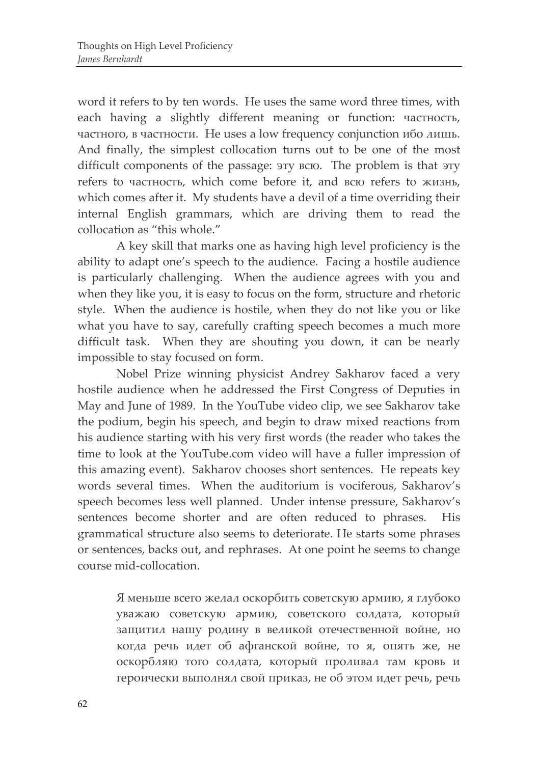word it refers to by ten words. He uses the same word three times, with each having a slightly different meaning or function: частность, частного, в частности. He uses a low frequency conjunction ибо лишь. And finally, the simplest collocation turns out to be one of the most difficult components of the passage: эту всю. The problem is that эту refers to частность, which come before it, and всю refers to жизнь, which comes after it. My students have a devil of a time overriding their internal English grammars, which are driving them to read the collocation as "this whole."

A key skill that marks one as having high level proficiency is the ability to adapt one's speech to the audience. Facing a hostile audience is particularly challenging. When the audience agrees with you and when they like you, it is easy to focus on the form, structure and rhetoric style. When the audience is hostile, when they do not like you or like what you have to say, carefully crafting speech becomes a much more difficult task. When they are shouting you down, it can be nearly impossible to stay focused on form.

Nobel Prize winning physicist Andrey Sakharov faced a very hostile audience when he addressed the First Congress of Deputies in May and June of 1989. In the YouTube video clip, we see Sakharov take the podium, begin his speech, and begin to draw mixed reactions from his audience starting with his very first words (the reader who takes the time to look at the YouTube.com video will have a fuller impression of this amazing event). Sakharov chooses short sentences. He repeats key words several times. When the auditorium is vociferous, Sakharov's speech becomes less well planned. Under intense pressure, Sakharov's sentences become shorter and are often reduced to phrases. His grammatical structure also seems to deteriorate. He starts some phrases or sentences, backs out, and rephrases. At one point he seems to change course mid-collocation.

> Я меньше всего желал оскорбить советскую армию, я глубоко уважаю советскую армию, советского солдата, который защитил нашу родину в великой отечественной войне, но когда речь идет об афганской войне, то я, опять же, не оскорбляю того солдата, который проливал там кровь и героически выполнял свой приказ, не об этом идет речь, речь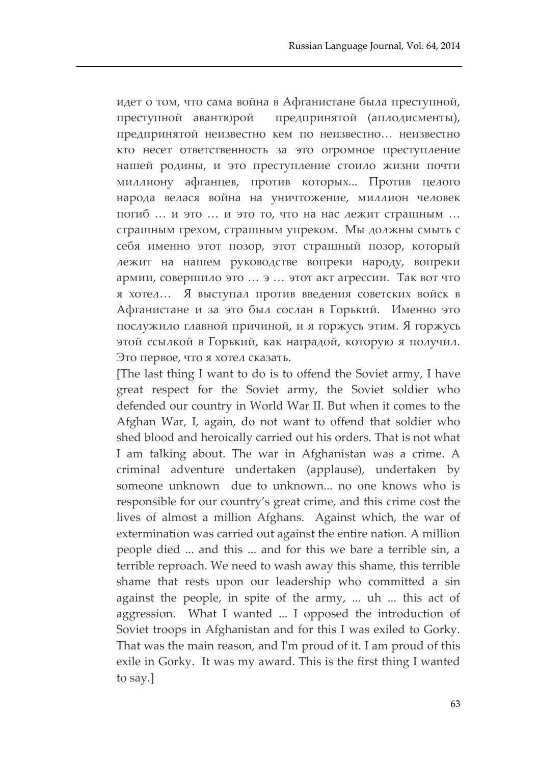идет о том, что сама война в Афганистане была преступной, преступной авантюрой предпринятой (аплодисменты), предпринятой неизвестно кем по неизвестно… неизвестно кто несет ответственность за это огромное преступление нашей родины, и это преступление стоило жизни почти миллиону афганцев, против которых... Против целого народа велася война на уничтожение, миллион человек погиб … и это … и это то, что на нас лежит страшным … страшным грехом, страшным упреком. Мы должны смыть с себя именно этот позор, этот страшный позор, который лежит на нашем руководстве вопреки народу, вопреки армии, совершило это … э … этот акт агрессии. Так вот что я хотел… Я выступал против введения советских войск в Афганистане и за это был сослан в Горький. Именно это послужило главной причиной, и я горжусь этим. Я горжусь этой ссылкой в Горький, как наградой, которую я получил. Это первое, что я хотел сказать.

[The last thing I want to do is to offend the Soviet army, I have great respect for the Soviet army, the Soviet soldier who defended our country in World War II. But when it comes to the Afghan War, I, again, do not want to offend that soldier who shed blood and heroically carried out his orders. That is not what I am talking about. The war in Afghanistan was a crime. A criminal adventure undertaken (applause), undertaken by someone unknown due to unknown... no one knows who is responsible for our country's great crime, and this crime cost the lives of almost a million Afghans. Against which, the war of extermination was carried out against the entire nation. A million people died ... and this ... and for this we bare a terrible sin, a terrible reproach. We need to wash away this shame, this terrible shame that rests upon our leadership who committed a sin against the people, in spite of the army, ... uh ... this act of aggression. What I wanted ... I opposed the introduction of Soviet troops in Afghanistan and for this I was exiled to Gorky. That was the main reason, and I'm proud of it. I am proud of this exile in Gorky. It was my award. This is the first thing I wanted to say.]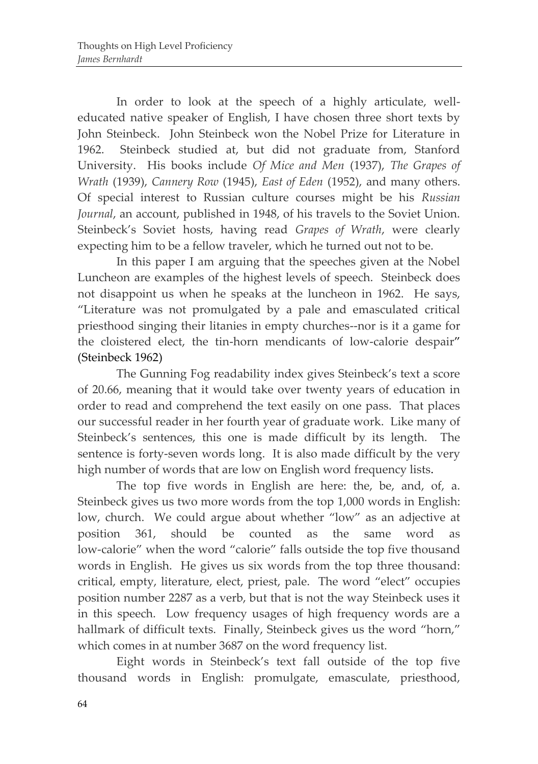In order to look at the speech of a highly articulate, welleducated native speaker of English, I have chosen three short texts by John Steinbeck. John Steinbeck won the Nobel Prize for Literature in 1962. Steinbeck studied at, but did not graduate from, Stanford University. His books include *Of Mice and Men* (1937), *The Grapes of Wrath* (1939), *Cannery Row* (1945), *East of Eden* (1952), and many others. Of special interest to Russian culture courses might be his *Russian Journal*, an account, published in 1948, of his travels to the Soviet Union. Steinbeck's Soviet hosts, having read *Grapes of Wrath*, were clearly expecting him to be a fellow traveler, which he turned out not to be.

In this paper I am arguing that the speeches given at the Nobel Luncheon are examples of the highest levels of speech. Steinbeck does not disappoint us when he speaks at the luncheon in 1962. He says, "Literature was not promulgated by a pale and emasculated critical priesthood singing their litanies in empty churches--nor is it a game for the cloistered elect, the tin-horn mendicants of low-calorie despair" (Steinbeck 1962)

The Gunning Fog readability index gives Steinbeck's text a score of 20.66, meaning that it would take over twenty years of education in order to read and comprehend the text easily on one pass. That places our successful reader in her fourth year of graduate work. Like many of Steinbeck's sentences, this one is made difficult by its length. The sentence is forty-seven words long. It is also made difficult by the very high number of words that are low on English word frequency lists.

The top five words in English are here: the, be, and, of, a. Steinbeck gives us two more words from the top 1,000 words in English: low, church. We could argue about whether "low" as an adjective at position 361, should be counted as the same word as low-calorie" when the word "calorie" falls outside the top five thousand words in English. He gives us six words from the top three thousand: critical, empty, literature, elect, priest, pale. The word "elect" occupies position number 2287 as a verb, but that is not the way Steinbeck uses it in this speech. Low frequency usages of high frequency words are a hallmark of difficult texts. Finally, Steinbeck gives us the word "horn," which comes in at number 3687 on the word frequency list.

Eight words in Steinbeck's text fall outside of the top five thousand words in English: promulgate, emasculate, priesthood,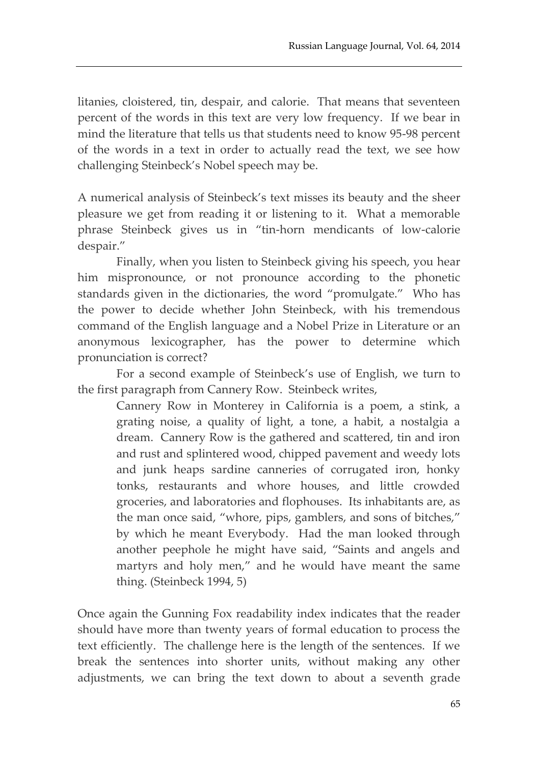litanies, cloistered, tin, despair, and calorie. That means that seventeen percent of the words in this text are very low frequency. If we bear in mind the literature that tells us that students need to know 95-98 percent of the words in a text in order to actually read the text, we see how challenging Steinbeck's Nobel speech may be.

A numerical analysis of Steinbeck's text misses its beauty and the sheer pleasure we get from reading it or listening to it. What a memorable phrase Steinbeck gives us in "tin-horn mendicants of low-calorie despair."

Finally, when you listen to Steinbeck giving his speech, you hear him mispronounce, or not pronounce according to the phonetic standards given in the dictionaries, the word "promulgate." Who has the power to decide whether John Steinbeck, with his tremendous command of the English language and a Nobel Prize in Literature or an anonymous lexicographer, has the power to determine which pronunciation is correct?

For a second example of Steinbeck's use of English, we turn to the first paragraph from Cannery Row. Steinbeck writes,

Cannery Row in Monterey in California is a poem, a stink, a grating noise, a quality of light, a tone, a habit, a nostalgia a dream. Cannery Row is the gathered and scattered, tin and iron and rust and splintered wood, chipped pavement and weedy lots and junk heaps sardine canneries of corrugated iron, honky tonks, restaurants and whore houses, and little crowded groceries, and laboratories and flophouses. Its inhabitants are, as the man once said, "whore, pips, gamblers, and sons of bitches," by which he meant Everybody. Had the man looked through another peephole he might have said, "Saints and angels and martyrs and holy men," and he would have meant the same thing. (Steinbeck 1994, 5)

Once again the Gunning Fox readability index indicates that the reader should have more than twenty years of formal education to process the text efficiently. The challenge here is the length of the sentences. If we break the sentences into shorter units, without making any other adjustments, we can bring the text down to about a seventh grade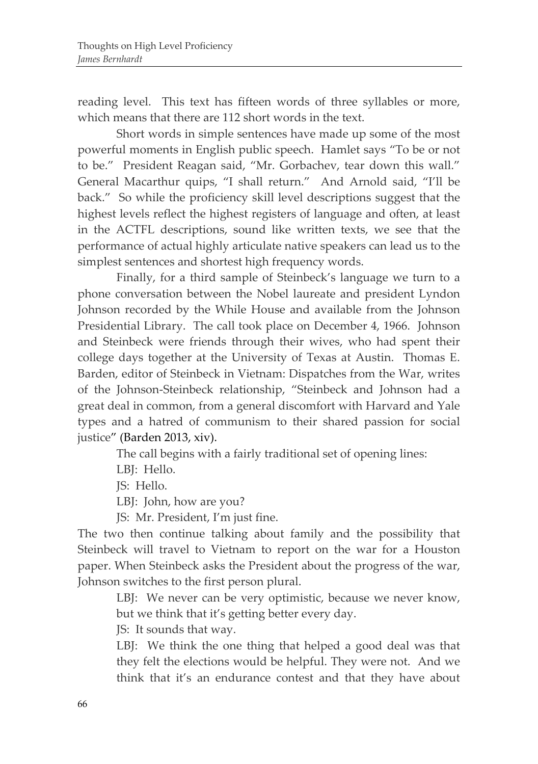reading level. This text has fifteen words of three syllables or more, which means that there are 112 short words in the text.

Short words in simple sentences have made up some of the most powerful moments in English public speech. Hamlet says "To be or not to be." President Reagan said, "Mr. Gorbachev, tear down this wall." General Macarthur quips, "I shall return." And Arnold said, "I'll be back." So while the proficiency skill level descriptions suggest that the highest levels reflect the highest registers of language and often, at least in the ACTFL descriptions, sound like written texts, we see that the performance of actual highly articulate native speakers can lead us to the simplest sentences and shortest high frequency words.

Finally, for a third sample of Steinbeck's language we turn to a phone conversation between the Nobel laureate and president Lyndon Johnson recorded by the While House and available from the Johnson Presidential Library. The call took place on December 4, 1966. Johnson and Steinbeck were friends through their wives, who had spent their college days together at the University of Texas at Austin. Thomas E. Barden, editor of Steinbeck in Vietnam: Dispatches from the War, writes of the Johnson-Steinbeck relationship, "Steinbeck and Johnson had a great deal in common, from a general discomfort with Harvard and Yale types and a hatred of communism to their shared passion for social justice" (Barden 2013, xiv).

The call begins with a fairly traditional set of opening lines:

LBJ: Hello.

JS: Hello.

LBJ: John, how are you?

JS: Mr. President, I'm just fine.

The two then continue talking about family and the possibility that Steinbeck will travel to Vietnam to report on the war for a Houston paper. When Steinbeck asks the President about the progress of the war, Johnson switches to the first person plural.

LBJ: We never can be very optimistic, because we never know, but we think that it's getting better every day.

JS: It sounds that way.

LBJ: We think the one thing that helped a good deal was that they felt the elections would be helpful. They were not. And we think that it's an endurance contest and that they have about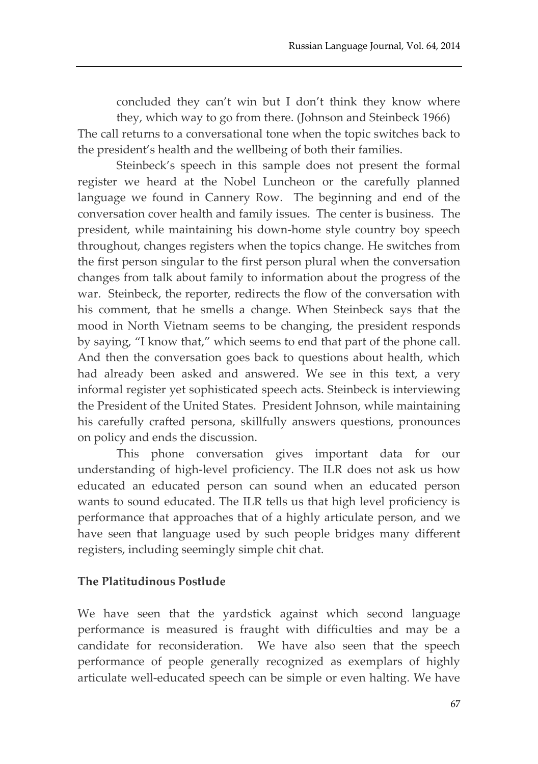concluded they can't win but I don't think they know where

they, which way to go from there. (Johnson and Steinbeck 1966) The call returns to a conversational tone when the topic switches back to the president's health and the wellbeing of both their families.

Steinbeck's speech in this sample does not present the formal register we heard at the Nobel Luncheon or the carefully planned language we found in Cannery Row. The beginning and end of the conversation cover health and family issues. The center is business. The president, while maintaining his down-home style country boy speech throughout, changes registers when the topics change. He switches from the first person singular to the first person plural when the conversation changes from talk about family to information about the progress of the war. Steinbeck, the reporter, redirects the flow of the conversation with his comment, that he smells a change. When Steinbeck says that the mood in North Vietnam seems to be changing, the president responds by saying, "I know that," which seems to end that part of the phone call. And then the conversation goes back to questions about health, which had already been asked and answered. We see in this text, a very informal register yet sophisticated speech acts. Steinbeck is interviewing the President of the United States. President Johnson, while maintaining his carefully crafted persona, skillfully answers questions, pronounces on policy and ends the discussion.

This phone conversation gives important data for our understanding of high-level proficiency. The ILR does not ask us how educated an educated person can sound when an educated person wants to sound educated. The ILR tells us that high level proficiency is performance that approaches that of a highly articulate person, and we have seen that language used by such people bridges many different registers, including seemingly simple chit chat.

#### **The Platitudinous Postlude**

We have seen that the yardstick against which second language performance is measured is fraught with difficulties and may be a candidate for reconsideration. We have also seen that the speech performance of people generally recognized as exemplars of highly articulate well-educated speech can be simple or even halting. We have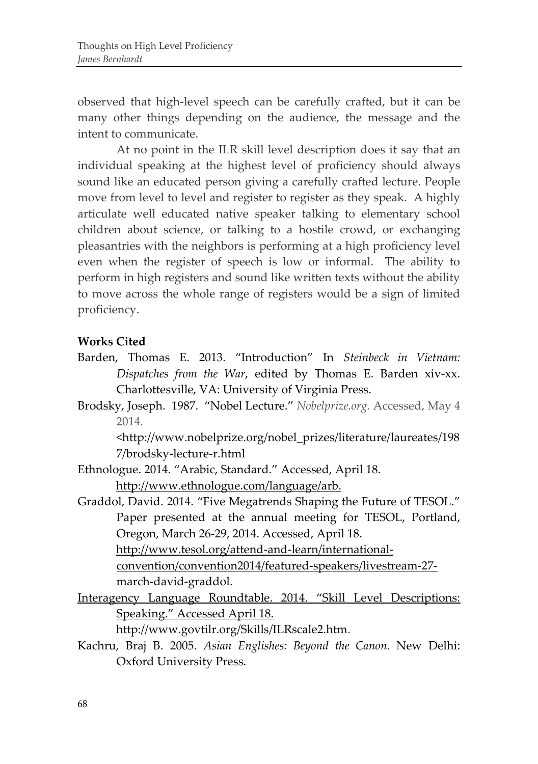observed that high-level speech can be carefully crafted, but it can be many other things depending on the audience, the message and the intent to communicate.

At no point in the ILR skill level description does it say that an individual speaking at the highest level of proficiency should always sound like an educated person giving a carefully crafted lecture. People move from level to level and register to register as they speak. A highly articulate well educated native speaker talking to elementary school children about science, or talking to a hostile crowd, or exchanging pleasantries with the neighbors is performing at a high proficiency level even when the register of speech is low or informal. The ability to perform in high registers and sound like written texts without the ability to move across the whole range of registers would be a sign of limited proficiency.

### **Works Cited**

- Barden, Thomas E. 2013. "Introduction" In *Steinbeck in Vietnam: Dispatches from the War*, edited by Thomas E. Barden xiv-xx. Charlottesville, VA: University of Virginia Press.
- Brodsky, Joseph. 1987. "Nobel Lecture." *Nobelprize.org.* Accessed, May 4 2014.

<http://www.nobelprize.org/nobel\_prizes/literature/laureates/198 7/brodsky-lecture-r.html

- Ethnologue. 2014. "Arabic, Standard." Accessed, April 18. [http://www.ethnologue.com/language/arb.](http://www.ethnologue.com/language/arb)
- Graddol, David. 2014. "Five Megatrends Shaping the Future of TESOL." Paper presented at the annual meeting for TESOL, Portland, Oregon, March 26-29, 2014. Accessed, April 18. [http://www.tesol.org/attend-and-learn/international](http://www.tesol.org/attend-and-learn/international-convention/convention2014/featured-speakers/livestream-27-march-david-graddol)[convention/convention2014/featured-speakers/livestream-27](http://www.tesol.org/attend-and-learn/international-convention/convention2014/featured-speakers/livestream-27-march-david-graddol) [march-david-graddol.](http://www.tesol.org/attend-and-learn/international-convention/convention2014/featured-speakers/livestream-27-march-david-graddol)
- Interagency Language Roundtable. 2014. "Skill Level Descriptions: Speaking." Accessed April 18.

[http://www.govtilr.org/Skills/ILRscale2.htm.](http://www.govtilr.org/Skills/ILRscale2.htm)

Kachru, Braj B. 2005. *Asian Englishes: Beyond the Canon.* New Delhi: Oxford University Press.